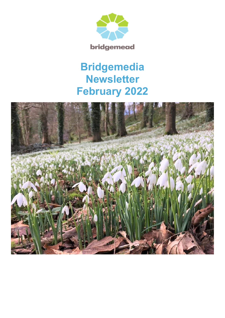

# **Bridgemedia Newsletter February 2022**

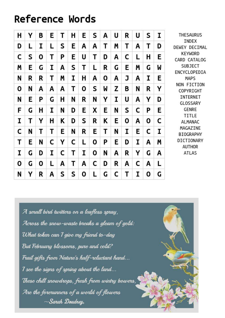# Reference Words



**THESAURUS** INDEX DEWEY DECIMAL **KEYWORD** CARD CATALOG **SUBJECT** ENCYCLOPEDIA **MAPS** NON FICTION COPYRIGHT INTERNET **GLOSSARY GENRE TITLE ALMANAC** MAGAZINE **BIOGRAPHY** DICTIONARY **AUTHOR ATLAS** 

A small bird twitters on a leafless spray, Across the snow-waste breaks a gleam of gold: What token can 7 give my friend to-day But February blossoms, pure and cold? Frail gifts from Nature's half-reluctant hand... 7 see the signs of spring about the land... These chill snowdrops, fresh from wintry bowers, Are the forerunners of a world of flowers  $\sim$ Sarah Doudney,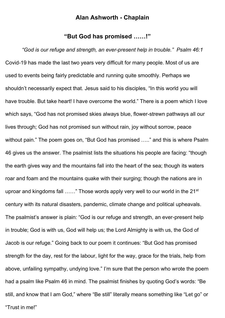#### **Alan Ashworth - Chaplain**

## **"But God has promised ……!"**

*"God is our refuge and strength, an ever-present help in trouble." Psalm 46:1* Covid-19 has made the last two years very difficult for many people. Most of us are used to events being fairly predictable and running quite smoothly. Perhaps we shouldn't necessarily expect that. Jesus said to his disciples, "In this world you will have trouble. But take heart! I have overcome the world." There is a poem which I love which says, "God has not promised skies always blue, flower-strewn pathways all our lives through; God has not promised sun without rain, joy without sorrow, peace without pain." The poem goes on, "But God has promised ....." and this is where Psalm 46 gives us the answer. The psalmist lists the situations his people are facing: "though the earth gives way and the mountains fall into the heart of the sea; though its waters roar and foam and the mountains quake with their surging; though the nations are in uproar and kingdoms fall ……" Those words apply very well to our world in the 21<sup>st</sup> century with its natural disasters, pandemic, climate change and political upheavals. The psalmist's answer is plain: "God is our refuge and strength, an ever-present help in trouble; God is with us, God will help us; the Lord Almighty is with us, the God of Jacob is our refuge." Going back to our poem it continues: "But God has promised strength for the day, rest for the labour, light for the way, grace for the trials, help from above, unfailing sympathy, undying love." I'm sure that the person who wrote the poem had a psalm like Psalm 46 in mind. The psalmist finishes by quoting God's words: "Be still, and know that I am God," where "Be still" literally means something like "Let go" or "Trust in me!"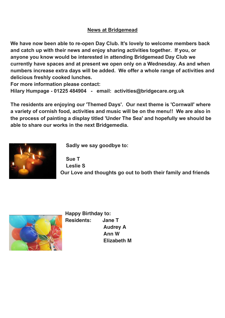#### **News at Bridgemead**

**We have now been able to re-open Day Club. It's lovely to welcome members back and catch up with their news and enjoy sharing activities together. If you, or anyone you know would be interested in attending Bridgemead Day Club we currently have spaces and at present we open only on a Wednesday. As and when numbers increase extra days will be added. We offer a whole range of activities and delicious freshly cooked lunches.**

**For more information please contact: Hilary Humpage - 01225 484904 - email: activities@bridgecare.org.uk**

**The residents are enjoying our 'Themed Days'. Our next theme is 'Cornwall' where a variety of cornish food, activities and music will be on the menu!! We are also in the process of painting a display titled 'Under The Sea' and hopefully we should be able to share our works in the next Bridgemedia.**



 **Sadly we say goodbye to:**

 **Sue T Leslie S Our Love and thoughts go out to both their family and friends** 



**Happy Birthday to: Residents: Jane T Audrey A Ann W Elizabeth M**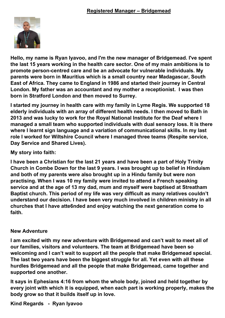

**Hello, my name is Ryan Iyavoo, and I'm the new manager of Bridgemead. I've spent the last 15 years working in the health care sector. One of my main ambitions is to promote person-centred care and be an advocate for vulnerable individuals. My parents were born in Mauritius which is a small country near Madagascar, South East of Africa. They came to England in 1986 and started their journey in Central London. My father was an accountant and my mother a receptionist. I was then born in Stratford London and then moved to Surrey.**

**I started my journey in health care with my family in Lyme Regis. We supported 18 elderly individuals with an array of different health needs. I then moved to Bath in 2013 and was lucky to work for the Royal National Institute for the Deaf where I managed a small team who supported individuals with dual sensory loss. It is there where I learnt sign language and a variation of communicational skills. In my last role I worked for Wiltshire Council where I managed three teams (Respite service, Day Service and Shared Lives).** 

#### **My story into faith:**

**I have been a Christian for the last 21 years and have been a part of Holy Trinity Church in Combe Down for the last 9 years. I was brought up to belief in Hinduism and both of my parents were also brought up in a Hindu family but were non practising. When I was 10 my family were invited to attend a French speaking service and at the age of 13 my dad, mum and myself were baptised at Streatham Baptist church. This period of my life was very difficult as many relatives couldn't understand our decision. I have been very much involved in children ministry in all churches that I have atte6nded and enjoy watching the next generation come to faith.**

#### **New Adventure**

**I am excited with my new adventure with Bridgemead and can't wait to meet all of our families, visitors and volunteers. The team at Bridgemead have been so welcoming and I can't wait to support all the people that make Bridgemead special. The last two years have been the biggest struggle for all. Yet even with all these hurdles Bridgemead and all the people that make Bridgemead, came together and supported one another.** 

**It says in Ephesians 4:16 from whom the whole body, joined and held together by every joint with which it is equipped, when each part is working properly, makes the body grow so that it builds itself up in love.**

**Kind Regards - Ryan Iyavoo**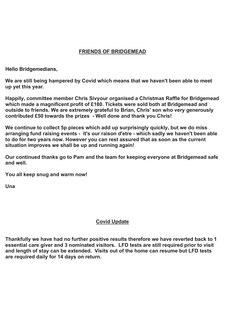#### **FRIENDS OF BRIDGEMEAD**

**Hello Bridgemedians,**

**We are still being hampered by Covid which means that we haven't been able to meet up yet this year.**

**Happily, committee member Chris Sivyour organised a Christmas Raffle for Bridgemead which made a magnificent profit of £180. Tickets were sold both at Bridgemead and outside to friends. We are extremely grateful to Brian, Chris' son who very generously contributed £50 towards the prizes - Well done and thank you Chris!**

**We continue to collect 5p pieces which add up surprisingly quickly, but we do miss arranging fund raising events - it's our raison d'etre - which sadly we haven't been able to do for two years now. However you can rest assured that as soon as the current situation improves we shall be up and running again!**

**Our continued thanks go to Pam and the team for keeping everyone at Bridgemead safe and well.**

**You all keep snug and warm now!**

**Una**

### **Covid Update**

**Thankfully we have had no further positive results therefore we have reverted back to 1 essential care giver and 3 nominated visitors. LFD tests are still required prior to visit and length of stay can be extended. Visits out of the home can resume but LFD tests are required daily for 14 days on return.**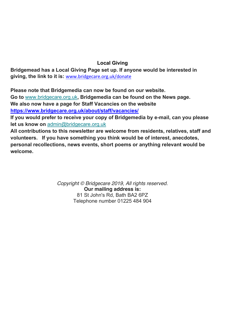### **Local Giving**

**Bridgemead has a Local Giving Page set up. If anyone would be interested in giving, the link to it is:** www.bridgecare.org.uk/donate

**Please note that Bridgemedia can now be found on our website. Go to** www.bridgecare.org.uk**, Bridgemedia can be found on the News page. We also now have a page for Staff Vacancies on the website https://www.bridgecare.org.uk/about/staff/vacancies/**

**If you would prefer to receive your copy of Bridgemedia by e-mail, can you please let us know on** admin@bridgecare.org.uk

**All contributions to this newsletter are welcome from residents, relatives, staff and volunteers. If you have something you think would be of interest, anecdotes, personal recollections, news events, short poems or anything relevant would be welcome.**

> *Copyright © Bridgecare 2019, All rights reserved.* **Our mailing address is:** 81 St John's Rd, Bath BA2 6PZ Telephone number 01225 484 904